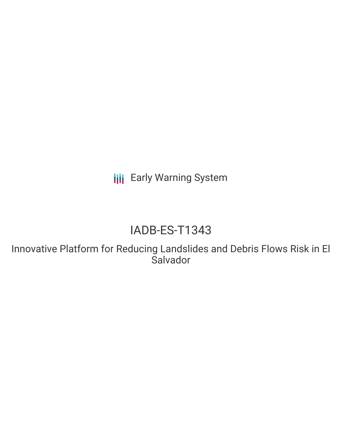**III** Early Warning System

# IADB-ES-T1343

Innovative Platform for Reducing Landslides and Debris Flows Risk in El **Salvador**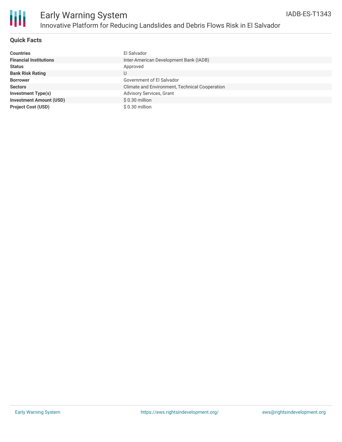

## **Quick Facts**

| <b>Countries</b>               | El Salvador                                    |
|--------------------------------|------------------------------------------------|
| <b>Financial Institutions</b>  | Inter-American Development Bank (IADB)         |
| <b>Status</b>                  | Approved                                       |
| <b>Bank Risk Rating</b>        | U                                              |
| <b>Borrower</b>                | Government of El Salvador                      |
| <b>Sectors</b>                 | Climate and Environment, Technical Cooperation |
| <b>Investment Type(s)</b>      | <b>Advisory Services, Grant</b>                |
| <b>Investment Amount (USD)</b> | \$0.30 million                                 |
| <b>Project Cost (USD)</b>      | \$0.30 million                                 |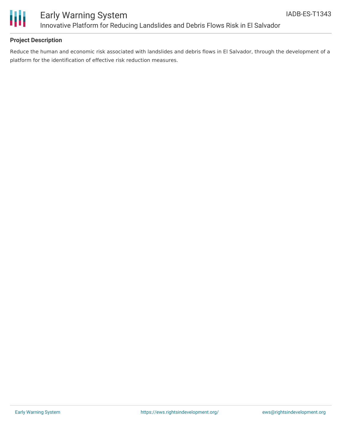

## **Project Description**

Reduce the human and economic risk associated with landslides and debris flows in El Salvador, through the development of a platform for the identification of effective risk reduction measures.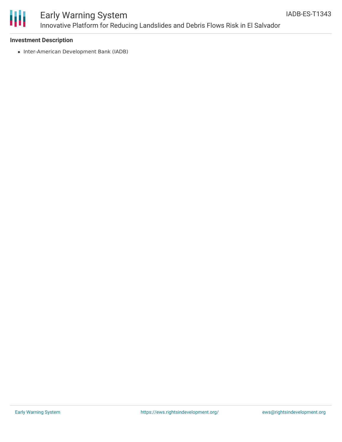

# Early Warning System Innovative Platform for Reducing Landslides and Debris Flows Risk in El Salvador

### **Investment Description**

• Inter-American Development Bank (IADB)